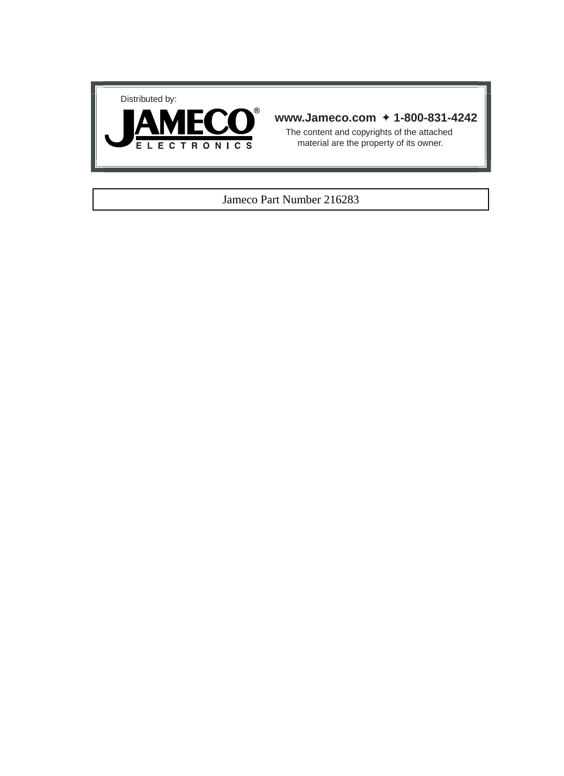



#### **www.Jameco.com** ✦ **1-800-831-4242**

The content and copyrights of the attached material are the property of its owner.

#### Jameco Part Number 216283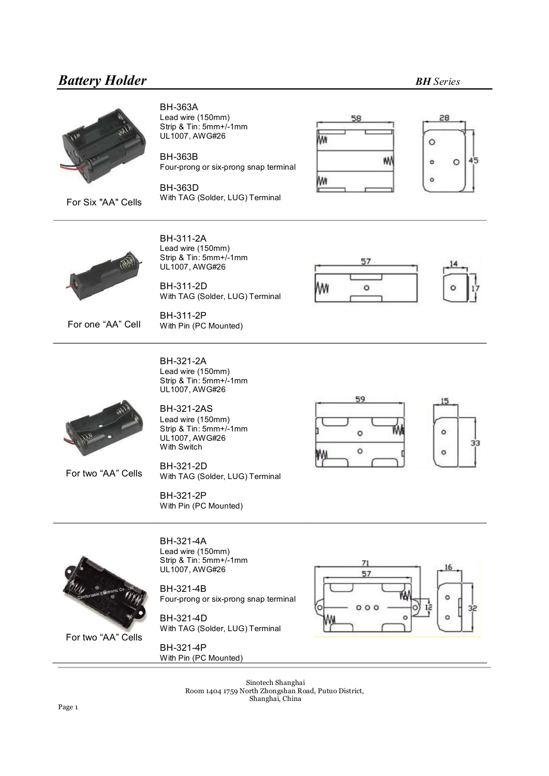

For Six "AA" Cells

**BH-363A** Lead wire (150mm) Strip & Tin: 5mm+/-1mm UL1007, AWG#26

**BH-363B** Four-prong or six-prong snap terminal

**BH-363D** With TAG (Solder, LUG) Terminal





BH-311-2A Lead wire (150mm) Strip & Tin: 5mm+/-1mm UL1007, AWG#26

BH-311-2D With TAG (Solder, LUG) Terminal

BH-311-2P With Pin (PC Mounted)



For one "AA" Cell

BH-321-2A Lead wire (150mm) Strip & Tin: 5mm+/1mm UL1007, AWG#26

**BH-321-2AS** Lead wire (150mm) Strip & Tin: 5mm+/-1mm UL1007, AWG#26 With Switch

BH-321-2D With TAG (Solder, LUG) Terminal

BH-321-2P With Pin (PC Mounted)





For two "AA" Cells

For two "AA" Cells

BH-321-4A Lead wire (150mm) Strip & Tin: 5mm+/-1mm UL1007, AWG#26

BH-321-4B Four-prong or six-prong snap terminal

BH-321-4D With TAG (Solder, LUG) Terminal

BH-321-4P With Pin (PC Mounted)



Sinotech Shanghai Room 1404 1759 North Zhongshan Road, Putuo District, Shanghai, China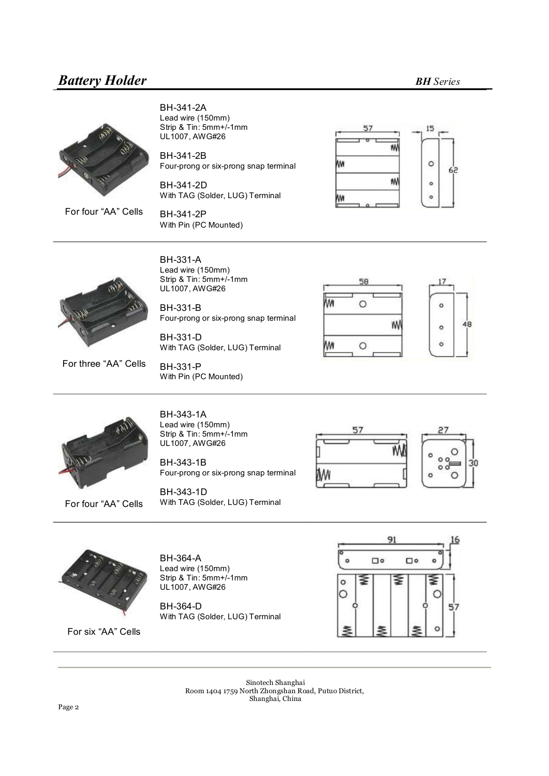

BH-341-2A Lead wire (150mm) Strip & Tin: 5mm+/-1mm UL1007, AWG#26

BH-341-2B Four-prong or six-prong snap terminal

BH-341-2D With TAG (Solder, LUG) Terminal

BH-341-2P With Pin (PC Mounted)





BH-331-A Lead wire (150mm) Strip & Tin: 5mm+/-1mm UL1007, AWG#26

BH-331-B Four-prong or six-prong snap terminal

BH-331-D With TAG (Solder, LUG) Terminal

58 ٨M  $\circ$  $\circ$ W 48  $\circ$  $\circ$ M۸  $\circ$ 



For four "AA" Cells

For three "AA" Cells

BH-343-1A Lead wire (150mm) Strip & Tin: 5mm+/-1mm UL1007, AWG#26

With Pin (PC Mounted)

BH-331-P

BH-343-1B Four-prong or six-prong snap terminal

BH-343-1D With TAG (Solder, LUG) Terminal







For six "AA" Cells

BH-364-A Lead wire (150mm) Strip & Tin: 5mm+/-1mm UL1007, AWG#26

BH-364-D With TAG (Solder, LUG) Terminal



Sinotech Shanghai Room 1404 1759 North Zhongshan Road, Putuo District, Shanghai, China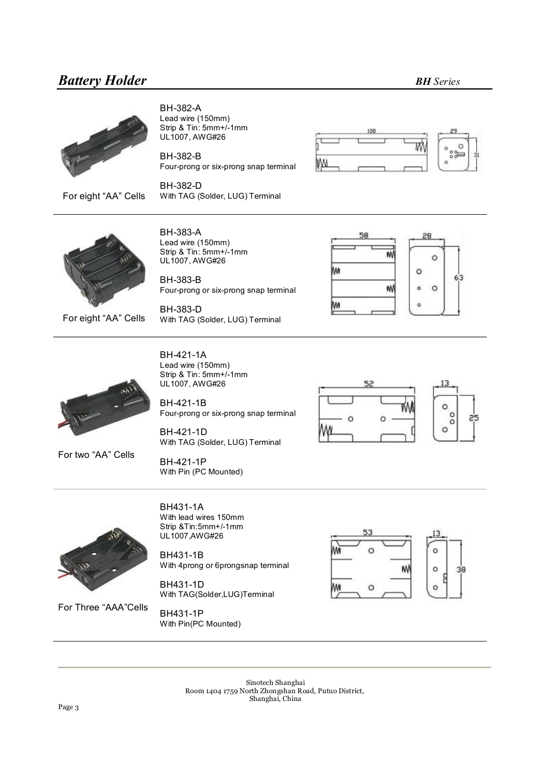

For eight "AA" Cells

BH-382-A Lead wire (150mm) Strip & Tin: 5mm+/-1mm UL1007, AWG#26

BH-382-B Four-prong or six-prong snap terminal

BH-382-D With TAG (Solder, LUG) Terminal





For eight "AA" Cells

**BH-383-A** Lead wire (150mm) Strip & Tin: 5mm+/-1mm UL1007, AWG#26

**BH-383-B** Four-prong or six-prong snap terminal

BH-383-D With TAG (Solder, LUG) Terminal





BH-421-1A Lead wire (150mm) Strip & Tin: 5mm+/1mm UL1007, AWG#26

BH-421-1B Four-prong or six-prong snap terminal

BH-421-1D With TAG (Solder, LUG) Terminal



For two "AA" Cells

BH-421-1P With Pin (PC Mounted)



BH431-1A With lead wires 150mm Strip &Tin:5mm+/1mm UL1007,AWG#26

BH431-1B With 4prong or 6prongsnap terminal

BH431-1D With TAG(Solder,LUG)Terminal 53  $\circ$  $\circ$ 38  $\circ$ 

For Three "AAA"Cells

BH431-1P With Pin(PC Mounted)

> Sinotech Shanghai Room 1404 1759 North Zhongshan Road, Putuo District, Shanghai, China